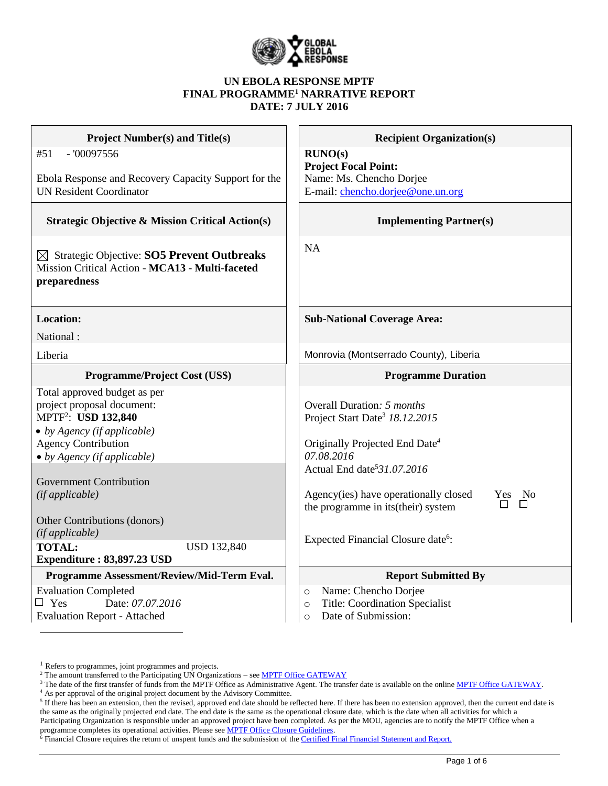

### **UN EBOLA RESPONSE MPTF FINAL PROGRAMME<sup>1</sup> NARRATIVE REPORT DATE: 7 JULY 2016**

| <b>Project Number(s) and Title(s)</b>                                                                                                                      | <b>Recipient Organization(s)</b>                                                                                       |
|------------------------------------------------------------------------------------------------------------------------------------------------------------|------------------------------------------------------------------------------------------------------------------------|
| $-100097556$<br>#51<br>Ebola Response and Recovery Capacity Support for the                                                                                | RUNO(s)<br><b>Project Focal Point:</b><br>Name: Ms. Chencho Dorjee                                                     |
| <b>UN Resident Coordinator</b>                                                                                                                             | E-mail: chencho.dorjee@one.un.org                                                                                      |
| <b>Strategic Objective &amp; Mission Critical Action(s)</b>                                                                                                | <b>Implementing Partner(s)</b>                                                                                         |
| $\boxtimes$ Strategic Objective: SO5 Prevent Outbreaks<br>Mission Critical Action - MCA13 - Multi-faceted<br>preparedness                                  | <b>NA</b>                                                                                                              |
| <b>Location:</b>                                                                                                                                           | <b>Sub-National Coverage Area:</b>                                                                                     |
| National:                                                                                                                                                  |                                                                                                                        |
| Liberia                                                                                                                                                    | Monrovia (Montserrado County), Liberia                                                                                 |
| Programme/Project Cost (US\$)                                                                                                                              | <b>Programme Duration</b>                                                                                              |
| Total approved budget as per<br>project proposal document:<br>MPTF <sup>2</sup> : USD 132,840<br>• by Agency (if applicable)<br><b>Agency Contribution</b> | Overall Duration: 5 months<br>Project Start Date <sup>3</sup> 18.12.2015<br>Originally Projected End Date <sup>4</sup> |
| • by Agency (if applicable)                                                                                                                                | 07.08.2016                                                                                                             |
| <b>Government Contribution</b>                                                                                                                             | Actual End date <sup>5</sup> 31.07.2016                                                                                |
| (if applicable)                                                                                                                                            | Agency(ies) have operationally closed<br>Yes No<br>$\Box$<br>$\Box$<br>the programme in its (their) system             |
| Other Contributions (donors)<br>(if applicable)                                                                                                            |                                                                                                                        |
| <b>TOTAL:</b><br><b>USD 132,840</b>                                                                                                                        | Expected Financial Closure date <sup>6</sup> :                                                                         |
| Expenditure: 83,897.23 USD                                                                                                                                 |                                                                                                                        |
| Programme Assessment/Review/Mid-Term Eval.                                                                                                                 | <b>Report Submitted By</b>                                                                                             |
| <b>Evaluation Completed</b>                                                                                                                                | Name: Chencho Dorjee<br>$\circ$                                                                                        |
| $\Box$ Yes<br>Date: 07.07.2016<br><b>Evaluation Report - Attached</b>                                                                                      | <b>Title: Coordination Specialist</b><br>$\circ$<br>Date of Submission:<br>$\circ$                                     |

<sup>&</sup>lt;sup>1</sup> Refers to programmes, joint programmes and projects.

<sup>&</sup>lt;sup>2</sup> The amount transferred to the Participating UN Organizations – see **MPTF Office GATEWAY** 

<sup>&</sup>lt;sup>3</sup> The date of the first transfer of funds from the MPTF Office as Administrative Agent. The transfer date is available on the online [MPTF Office GATEWAY.](http://mdtf.undp.org/)

<sup>4</sup> As per approval of the original project document by the Advisory Committee.

 $5$  If there has been an extension, then the revised, approved end date should be reflected here. If there has been no extension approved, then the current end date is the same as the originally projected end date. The end date is the same as the operational closure date, which is the date when all activities for which a Participating Organization is responsible under an approved project have been completed. As per the MOU, agencies are to notify the MPTF Office when a programme completes its operational activities. Please see **MPTF Office Closure Guidelines**.

<sup>&</sup>lt;sup>6</sup> Financial Closure requires the return of unspent funds and the submission of th[e Certified Final Financial Statement and Report.](http://mdtf.undp.org/document/download/5388)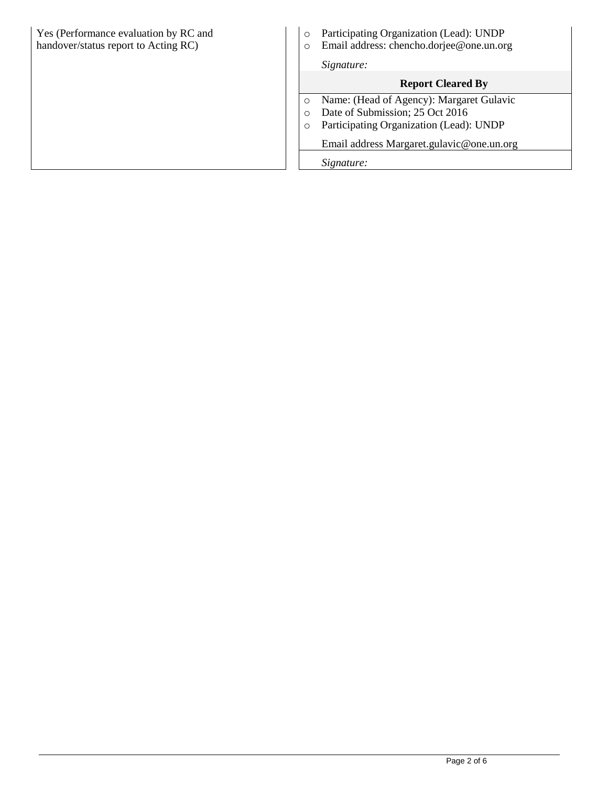| Yes (Performance evaluation by RC and<br>handover/status report to Acting RC) | Participating Organization (Lead): UNDP<br>$\circ$<br>Email address: chencho.dorjee@one.un.org<br>Signature: |  |  |
|-------------------------------------------------------------------------------|--------------------------------------------------------------------------------------------------------------|--|--|
|                                                                               | <b>Report Cleared By</b>                                                                                     |  |  |
|                                                                               | Name: (Head of Agency): Margaret Gulavic                                                                     |  |  |
|                                                                               | Date of Submission; 25 Oct 2016                                                                              |  |  |
|                                                                               | Participating Organization (Lead): UNDP                                                                      |  |  |
|                                                                               | Email address Margaret.gulavic@one.un.org                                                                    |  |  |
|                                                                               | Signature:                                                                                                   |  |  |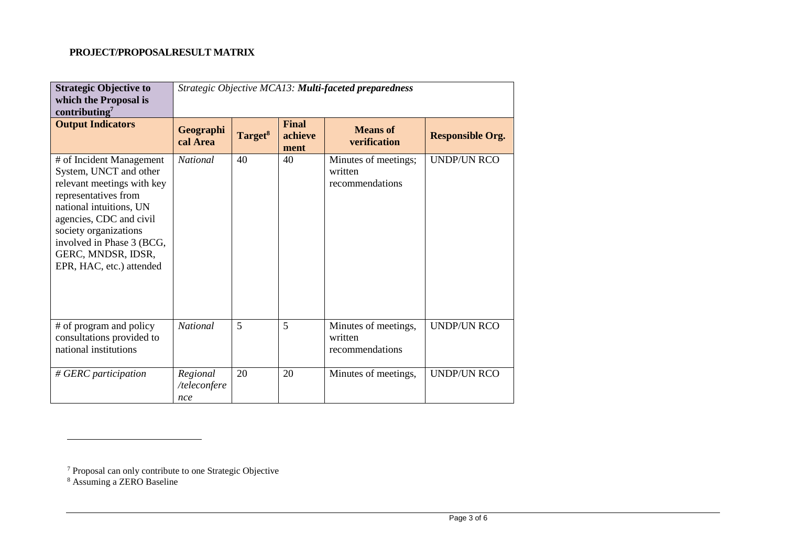# **PROJECT/PROPOSALRESULT MATRIX**

| <b>Strategic Objective to</b><br>which the Proposal is<br>contributing $^7$                                                                                                                                                                                            | Strategic Objective MCA13: Multi-faceted preparedness |                     |                                 |                                                    |                         |  |  |
|------------------------------------------------------------------------------------------------------------------------------------------------------------------------------------------------------------------------------------------------------------------------|-------------------------------------------------------|---------------------|---------------------------------|----------------------------------------------------|-------------------------|--|--|
| <b>Output Indicators</b>                                                                                                                                                                                                                                               | Geographi<br>cal Area                                 | Target <sup>8</sup> | <b>Final</b><br>achieve<br>ment | <b>Means</b> of<br><b>verification</b>             | <b>Responsible Org.</b> |  |  |
| # of Incident Management<br>System, UNCT and other<br>relevant meetings with key<br>representatives from<br>national intuitions, UN<br>agencies, CDC and civil<br>society organizations<br>involved in Phase 3 (BCG,<br>GERC, MNDSR, IDSR,<br>EPR, HAC, etc.) attended | <b>National</b>                                       | 40                  | 40                              | Minutes of meetings;<br>written<br>recommendations | <b>UNDP/UN RCO</b>      |  |  |
| # of program and policy<br>consultations provided to<br>national institutions                                                                                                                                                                                          | <b>National</b>                                       | 5                   | 5                               | Minutes of meetings,<br>written<br>recommendations | <b>UNDP/UN RCO</b>      |  |  |
| # GERC participation                                                                                                                                                                                                                                                   | Regional<br>/teleconfere<br>nce                       | 20                  | 20                              | Minutes of meetings,                               | <b>UNDP/UN RCO</b>      |  |  |

 $\overline{a}$ 

<sup>&</sup>lt;sup>7</sup> Proposal can only contribute to one Strategic Objective

<sup>8</sup> Assuming a ZERO Baseline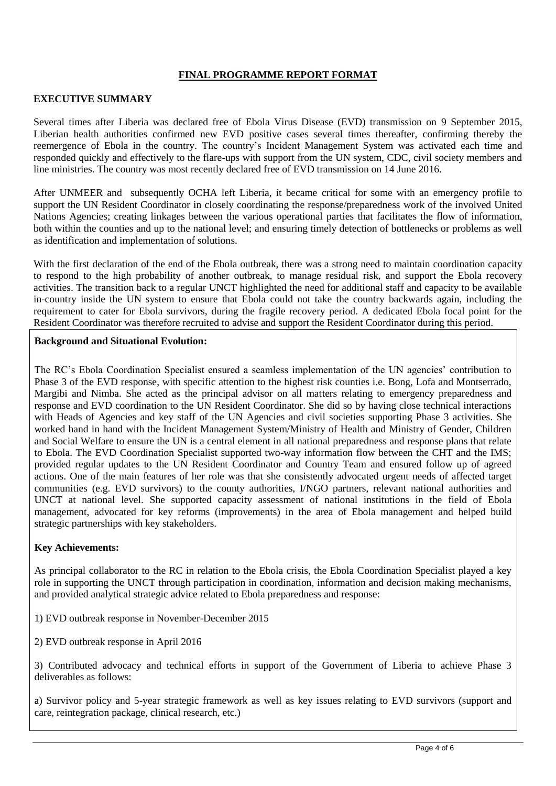## **FINAL PROGRAMME REPORT FORMAT**

### **EXECUTIVE SUMMARY**

Several times after Liberia was declared free of Ebola Virus Disease (EVD) transmission on 9 September 2015, Liberian health authorities confirmed new EVD positive cases several times thereafter, confirming thereby the reemergence of Ebola in the country. The country's Incident Management System was activated each time and responded quickly and effectively to the flare-ups with support from the UN system, CDC, civil society members and line ministries. The country was most recently declared free of EVD transmission on 14 June 2016.

After UNMEER and subsequently OCHA left Liberia, it became critical for some with an emergency profile to support the UN Resident Coordinator in closely coordinating the response/preparedness work of the involved United Nations Agencies; creating linkages between the various operational parties that facilitates the flow of information, both within the counties and up to the national level; and ensuring timely detection of bottlenecks or problems as well as identification and implementation of solutions.

With the first declaration of the end of the Ebola outbreak, there was a strong need to maintain coordination capacity to respond to the high probability of another outbreak, to manage residual risk, and support the Ebola recovery activities. The transition back to a regular UNCT highlighted the need for additional staff and capacity to be available in-country inside the UN system to ensure that Ebola could not take the country backwards again, including the requirement to cater for Ebola survivors, during the fragile recovery period. A dedicated Ebola focal point for the Resident Coordinator was therefore recruited to advise and support the Resident Coordinator during this period.

#### **Background and Situational Evolution:**

The RC's Ebola Coordination Specialist ensured a seamless implementation of the UN agencies' contribution to Phase 3 of the EVD response, with specific attention to the highest risk counties i.e. Bong, Lofa and Montserrado, Margibi and Nimba. She acted as the principal advisor on all matters relating to emergency preparedness and response and EVD coordination to the UN Resident Coordinator. She did so by having close technical interactions with Heads of Agencies and key staff of the UN Agencies and civil societies supporting Phase 3 activities. She worked hand in hand with the Incident Management System/Ministry of Health and Ministry of Gender, Children and Social Welfare to ensure the UN is a central element in all national preparedness and response plans that relate to Ebola. The EVD Coordination Specialist supported two-way information flow between the CHT and the IMS; provided regular updates to the UN Resident Coordinator and Country Team and ensured follow up of agreed actions. One of the main features of her role was that she consistently advocated urgent needs of affected target communities (e.g. EVD survivors) to the county authorities, I/NGO partners, relevant national authorities and UNCT at national level. She supported capacity assessment of national institutions in the field of Ebola management, advocated for key reforms (improvements) in the area of Ebola management and helped build strategic partnerships with key stakeholders.

#### **Key Achievements:**

As principal collaborator to the RC in relation to the Ebola crisis, the Ebola Coordination Specialist played a key role in supporting the UNCT through participation in coordination, information and decision making mechanisms, and provided analytical strategic advice related to Ebola preparedness and response:

- 1) EVD outbreak response in November-December 2015
- 2) EVD outbreak response in April 2016

3) Contributed advocacy and technical efforts in support of the Government of Liberia to achieve Phase 3 deliverables as follows:

a) Survivor policy and 5-year strategic framework as well as key issues relating to EVD survivors (support and care, reintegration package, clinical research, etc.)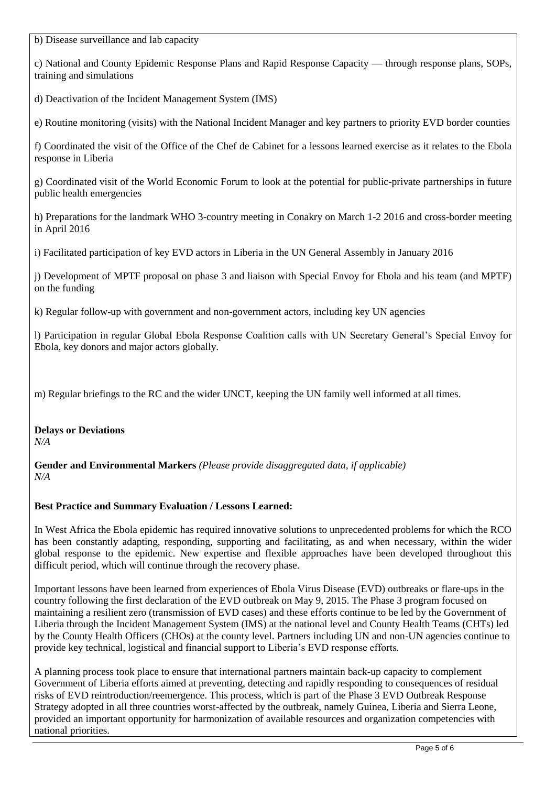b) Disease surveillance and lab capacity

c) National and County Epidemic Response Plans and Rapid Response Capacity — through response plans, SOPs, training and simulations

d) Deactivation of the Incident Management System (IMS)

e) Routine monitoring (visits) with the National Incident Manager and key partners to priority EVD border counties

f) Coordinated the visit of the Office of the Chef de Cabinet for a lessons learned exercise as it relates to the Ebola response in Liberia

g) Coordinated visit of the World Economic Forum to look at the potential for public-private partnerships in future public health emergencies

h) Preparations for the landmark WHO 3-country meeting in Conakry on March 1-2 2016 and cross-border meeting in April 2016

i) Facilitated participation of key EVD actors in Liberia in the UN General Assembly in January 2016

j) Development of MPTF proposal on phase 3 and liaison with Special Envoy for Ebola and his team (and MPTF) on the funding

k) Regular follow-up with government and non-government actors, including key UN agencies

l) Participation in regular Global Ebola Response Coalition calls with UN Secretary General's Special Envoy for Ebola, key donors and major actors globally.

m) Regular briefings to the RC and the wider UNCT, keeping the UN family well informed at all times.

**Delays or Deviations** *N/A*

**Gender and Environmental Markers** *(Please provide disaggregated data, if applicable) N/A*

## **Best Practice and Summary Evaluation / Lessons Learned:**

In West Africa the Ebola epidemic has required innovative solutions to unprecedented problems for which the RCO has been constantly adapting, responding, supporting and facilitating, as and when necessary, within the wider global response to the epidemic. New expertise and flexible approaches have been developed throughout this difficult period, which will continue through the recovery phase.

Important lessons have been learned from experiences of Ebola Virus Disease (EVD) outbreaks or flare-ups in the country following the first declaration of the EVD outbreak on May 9, 2015. The Phase 3 program focused on maintaining a resilient zero (transmission of EVD cases) and these efforts continue to be led by the Government of Liberia through the Incident Management System (IMS) at the national level and County Health Teams (CHTs) led by the County Health Officers (CHOs) at the county level. Partners including UN and non-UN agencies continue to provide key technical, logistical and financial support to Liberia's EVD response efforts.

A planning process took place to ensure that international partners maintain back-up capacity to complement Government of Liberia efforts aimed at preventing, detecting and rapidly responding to consequences of residual risks of EVD reintroduction/reemergence. This process, which is part of the Phase 3 EVD Outbreak Response Strategy adopted in all three countries worst-affected by the outbreak, namely Guinea, Liberia and Sierra Leone, provided an important opportunity for harmonization of available resources and organization competencies with national priorities.